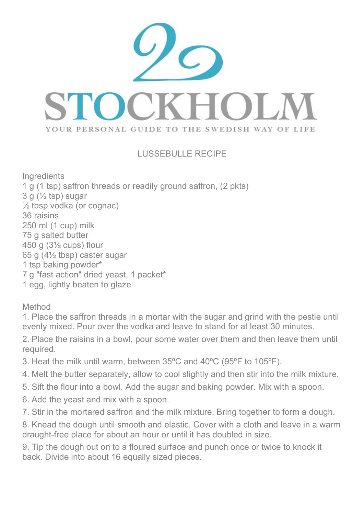

## LUSSEBULLE RECIPE

**Ingredients** 1 g (1 tsp) saffron threads or readily ground saffron, (2 pkts)  $3 g$   $\frac{1}{2}$  tsp) sugar  $\frac{1}{2}$  tbsp vodka (or cognac) 36 raisins 250 ml (1 cup) milk 75 g salted butter 450 g (3½ cups) flour 65 g (4½ tbsp) caster sugar 1 tsp baking powder\* 7 g "fast action" dried yeast, 1 packet\* 1 egg, lightly beaten to glaze

Method

1. Place the saffron threads in a mortar with the sugar and grind with the pestle until evenly mixed. Pour over the vodka and leave to stand for at least 30 minutes.

2. Place the raisins in a bowl, pour some water over them and then leave them until required.

- 3. Heat the milk until warm, between 35ºC and 40ºC (95ºF to 105ºF).
- 4. Melt the butter separately, allow to cool slightly and then stir into the milk mixture.
- 5. Sift the flour into a bowl. Add the sugar and baking powder. Mix with a spoon.
- 6. Add the yeast and mix with a spoon.
- 7. Stir in the mortared saffron and the milk mixture. Bring together to form a dough.

8. Knead the dough until smooth and elastic. Cover with a cloth and leave in a warm draught-free place for about an hour or until it has doubled in size.

9. Tip the dough out on to a floured surface and punch once or twice to knock it back. Divide into about 16 equally sized pieces.